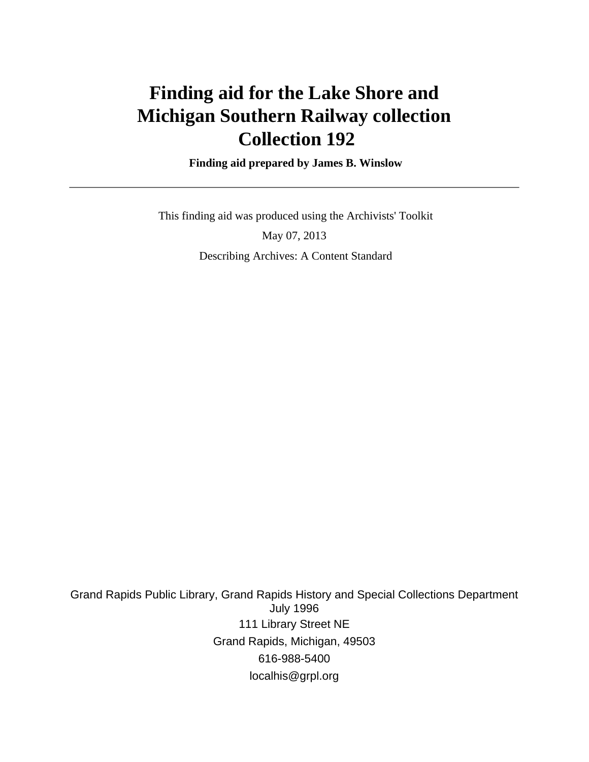# **Finding aid for the Lake Shore and Michigan Southern Railway collection Collection 192**

 **Finding aid prepared by James B. Winslow**

 This finding aid was produced using the Archivists' Toolkit May 07, 2013 Describing Archives: A Content Standard

Grand Rapids Public Library, Grand Rapids History and Special Collections Department July 1996 111 Library Street NE Grand Rapids, Michigan, 49503 616-988-5400 localhis@grpl.org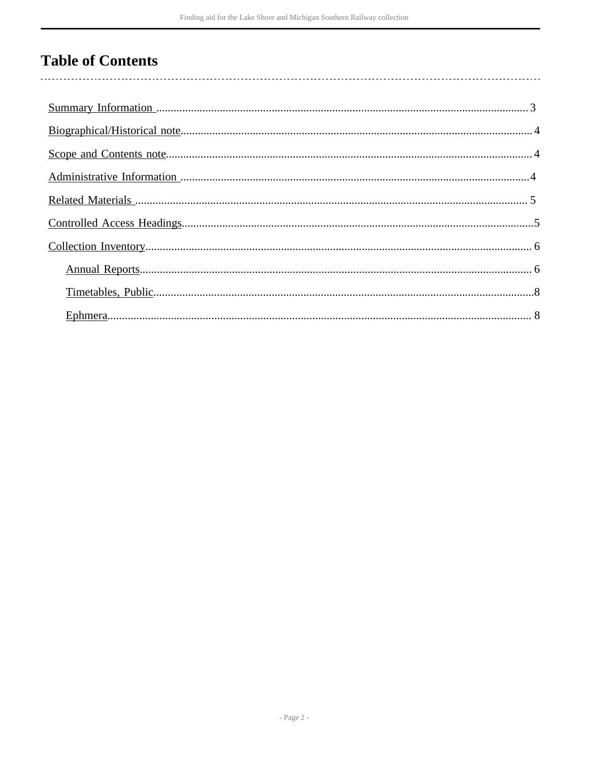# **Table of Contents**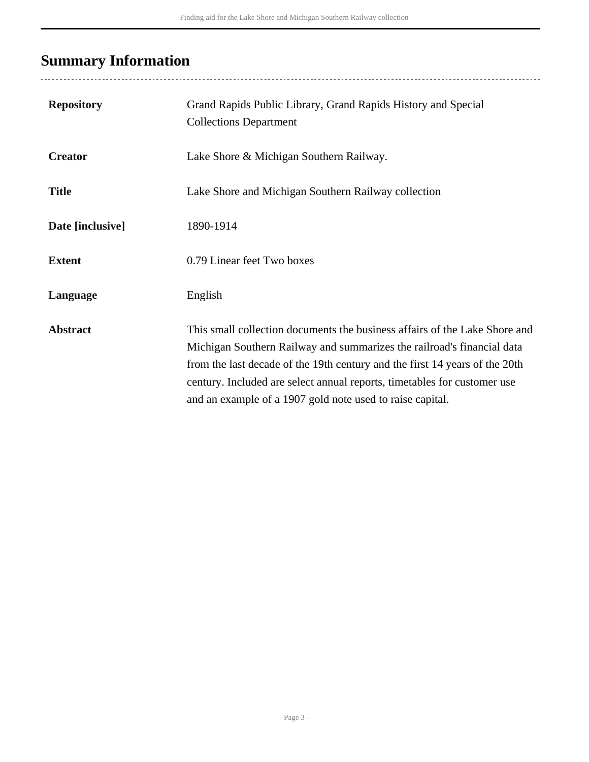# <span id="page-2-0"></span>**Summary Information**

| <b>Repository</b> | Grand Rapids Public Library, Grand Rapids History and Special<br><b>Collections Department</b>                                                                                                                                                                                                                                                                               |
|-------------------|------------------------------------------------------------------------------------------------------------------------------------------------------------------------------------------------------------------------------------------------------------------------------------------------------------------------------------------------------------------------------|
| <b>Creator</b>    | Lake Shore & Michigan Southern Railway.                                                                                                                                                                                                                                                                                                                                      |
| <b>Title</b>      | Lake Shore and Michigan Southern Railway collection                                                                                                                                                                                                                                                                                                                          |
| Date [inclusive]  | 1890-1914                                                                                                                                                                                                                                                                                                                                                                    |
| <b>Extent</b>     | 0.79 Linear feet Two boxes                                                                                                                                                                                                                                                                                                                                                   |
| Language          | English                                                                                                                                                                                                                                                                                                                                                                      |
| <b>Abstract</b>   | This small collection documents the business affairs of the Lake Shore and<br>Michigan Southern Railway and summarizes the railroad's financial data<br>from the last decade of the 19th century and the first 14 years of the 20th<br>century. Included are select annual reports, timetables for customer use<br>and an example of a 1907 gold note used to raise capital. |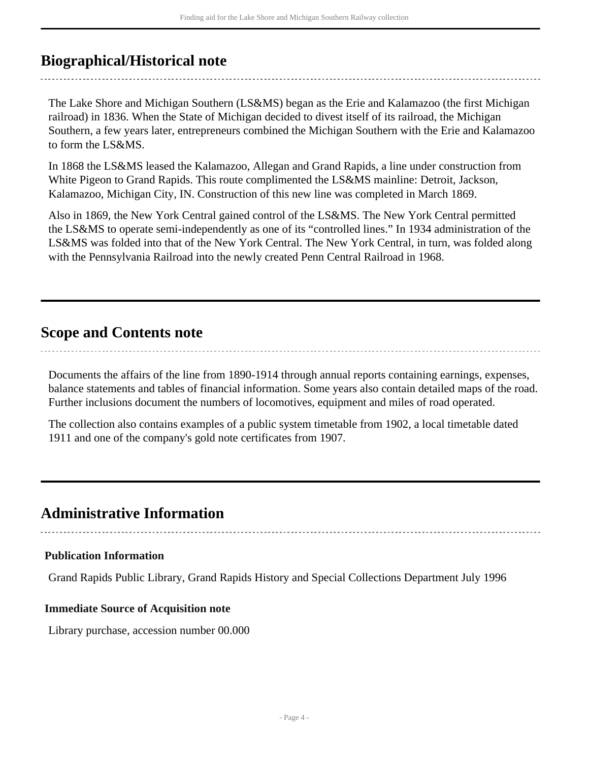## <span id="page-3-0"></span>**Biographical/Historical note**

The Lake Shore and Michigan Southern (LS&MS) began as the Erie and Kalamazoo (the first Michigan railroad) in 1836. When the State of Michigan decided to divest itself of its railroad, the Michigan Southern, a few years later, entrepreneurs combined the Michigan Southern with the Erie and Kalamazoo to form the LS&MS.

In 1868 the LS&MS leased the Kalamazoo, Allegan and Grand Rapids, a line under construction from White Pigeon to Grand Rapids. This route complimented the LS&MS mainline: Detroit, Jackson, Kalamazoo, Michigan City, IN. Construction of this new line was completed in March 1869.

Also in 1869, the New York Central gained control of the LS&MS. The New York Central permitted the LS&MS to operate semi-independently as one of its "controlled lines." In 1934 administration of the LS&MS was folded into that of the New York Central. The New York Central, in turn, was folded along with the Pennsylvania Railroad into the newly created Penn Central Railroad in 1968.

## <span id="page-3-1"></span>**Scope and Contents note**

Documents the affairs of the line from 1890-1914 through annual reports containing earnings, expenses, balance statements and tables of financial information. Some years also contain detailed maps of the road. Further inclusions document the numbers of locomotives, equipment and miles of road operated.

The collection also contains examples of a public system timetable from 1902, a local timetable dated 1911 and one of the company's gold note certificates from 1907.

## <span id="page-3-2"></span>**Administrative Information**

### **Publication Information**

Grand Rapids Public Library, Grand Rapids History and Special Collections Department July 1996

### **Immediate Source of Acquisition note**

Library purchase, accession number 00.000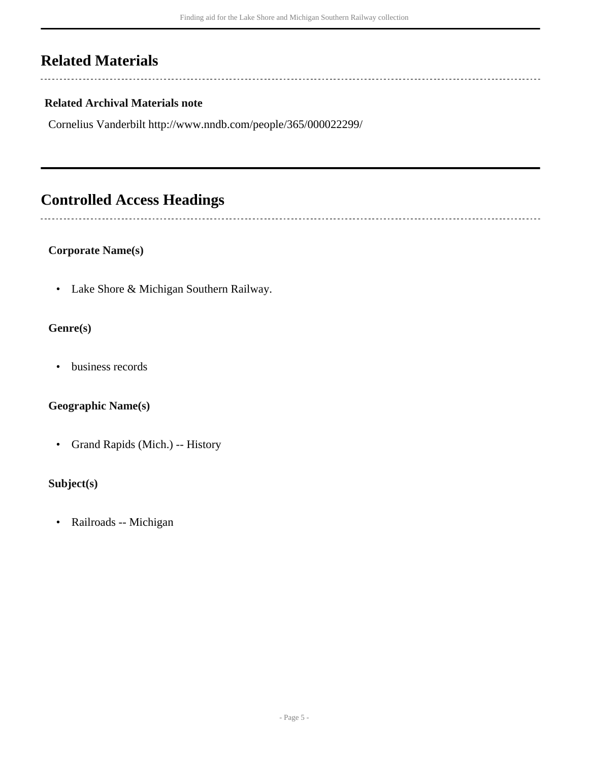# <span id="page-4-0"></span>**Related Materials**

 $\overline{a}$ 

 $\overline{a}$ 

### **Related Archival Materials note**

Cornelius Vanderbilt http://www.nndb.com/people/365/000022299/

# <span id="page-4-1"></span>**Controlled Access Headings**

### **Corporate Name(s)**

• Lake Shore & Michigan Southern Railway.

### **Genre(s)**

• business records

### **Geographic Name(s)**

• Grand Rapids (Mich.) -- History

### **Subject(s)**

• Railroads -- Michigan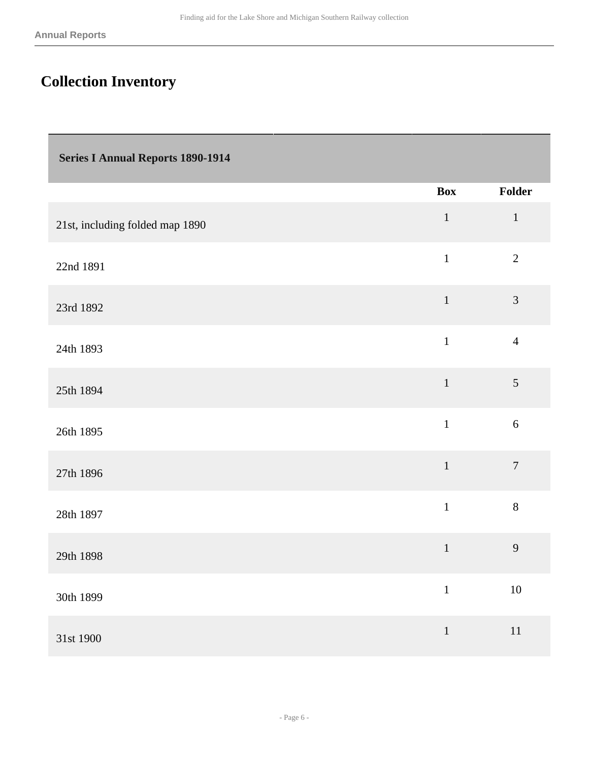# <span id="page-5-0"></span>**Collection Inventory**

<span id="page-5-1"></span>

| <b>Series I Annual Reports 1890-1914</b> |              |                |
|------------------------------------------|--------------|----------------|
|                                          | <b>Box</b>   | Folder         |
| 21st, including folded map 1890          | $\mathbf 1$  | $\,1\,$        |
| 22nd 1891                                | $\mathbf{1}$ | $\overline{2}$ |
| 23rd 1892                                | $\mathbf 1$  | 3              |
| 24th 1893                                | $\mathbf{1}$ | $\overline{4}$ |
| 25th 1894                                | $\mathbf 1$  | 5              |
| 26th 1895                                | $\mathbf{1}$ | $\sqrt{6}$     |
| 27th 1896                                | $\,1\,$      | $\overline{7}$ |
| 28th 1897                                | $\mathbf{1}$ | $8\,$          |
| 29th 1898                                | $\mathbf{1}$ | 9              |
| 30th 1899                                | $\,1$        | 10             |
| 31st 1900                                | $\,1$        | $11\,$         |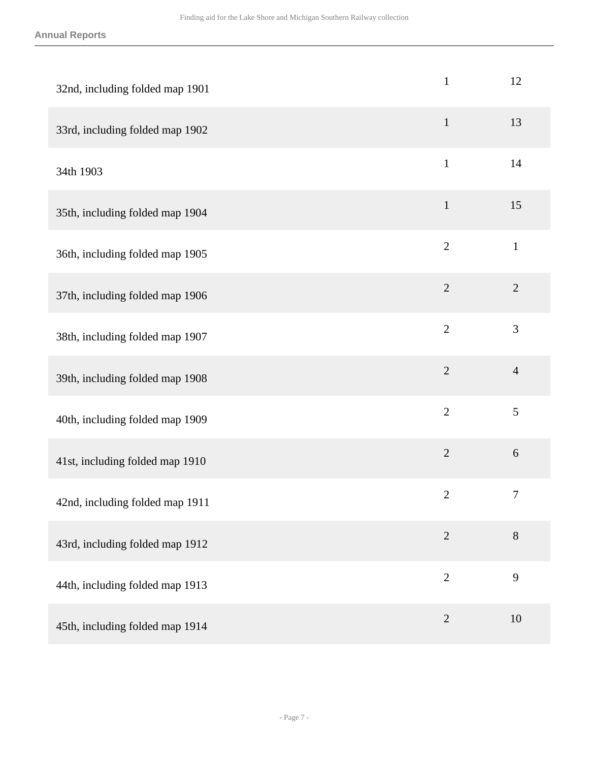#### **Annual Reports**

| 32nd, including folded map 1901 | $\mathbf{1}$   | 12               |
|---------------------------------|----------------|------------------|
| 33rd, including folded map 1902 | $\mathbf{1}$   | 13               |
| 34th 1903                       | $\mathbf{1}$   | 14               |
| 35th, including folded map 1904 | $\mathbf{1}$   | 15               |
| 36th, including folded map 1905 | $\overline{2}$ | $\mathbf{1}$     |
| 37th, including folded map 1906 | $\overline{2}$ | $\overline{2}$   |
| 38th, including folded map 1907 | $\overline{2}$ | 3                |
| 39th, including folded map 1908 | $\overline{2}$ | $\overline{4}$   |
| 40th, including folded map 1909 | $\overline{2}$ | 5                |
| 41st, including folded map 1910 | $\overline{2}$ | $6\,$            |
| 42nd, including folded map 1911 | $\overline{2}$ | $\boldsymbol{7}$ |
| 43rd, including folded map 1912 | $\overline{2}$ | $8\,$            |
| 44th, including folded map 1913 | $\overline{2}$ | 9                |
| 45th, including folded map 1914 | $\overline{2}$ | 10               |